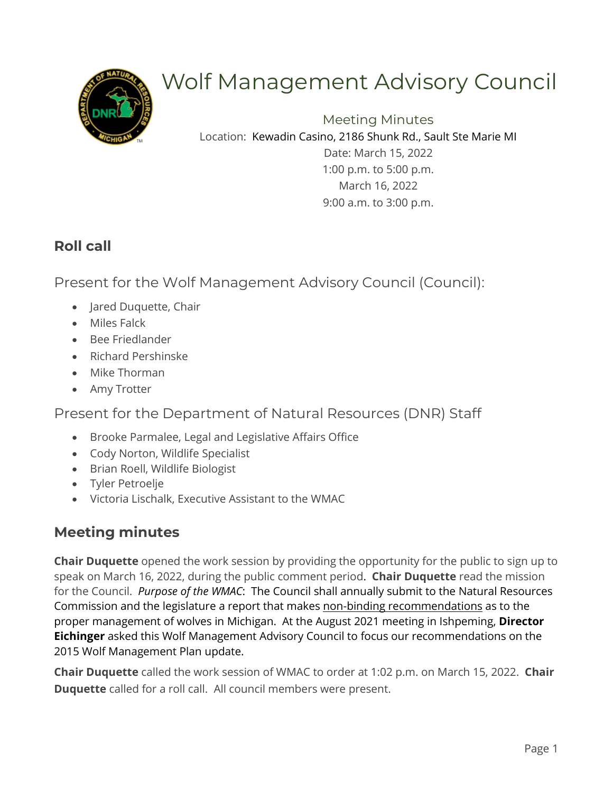

# Wolf Management Advisory Council

Meeting Minutes Location: Kewadin Casino, 2186 Shunk Rd., Sault Ste Marie MI

> Date: March 15, 2022 1:00 p.m. to 5:00 p.m. March 16, 2022 9:00 a.m. to 3:00 p.m.

# **Roll call**

Present for the Wolf Management Advisory Council (Council):

- Jared Duquette, Chair
- Miles Falck
- Bee Friedlander
- Richard Pershinske
- Mike Thorman
- Amy Trotter

Present for the Department of Natural Resources (DNR) Staff

- Brooke Parmalee, Legal and Legislative Affairs Office
- Cody Norton, Wildlife Specialist
- Brian Roell, Wildlife Biologist
- Tyler Petroelje
- Victoria Lischalk, Executive Assistant to the WMAC

# **Meeting minutes**

**Chair Duquette** opened the work session by providing the opportunity for the public to sign up to speak on March 16, 2022, during the public comment period. **Chair Duquette** read the mission for the Council. *Purpose of the WMAC*: The Council shall annually submit to the Natural Resources Commission and the legislature a report that makes non-binding recommendations as to the proper management of wolves in Michigan. At the August 2021 meeting in Ishpeming, **Director Eichinger** asked this Wolf Management Advisory Council to focus our recommendations on the 2015 Wolf Management Plan update.

**Chair Duquette** called the work session of WMAC to order at 1:02 p.m. on March 15, 2022. **Chair Duquette** called for a roll call. All council members were present.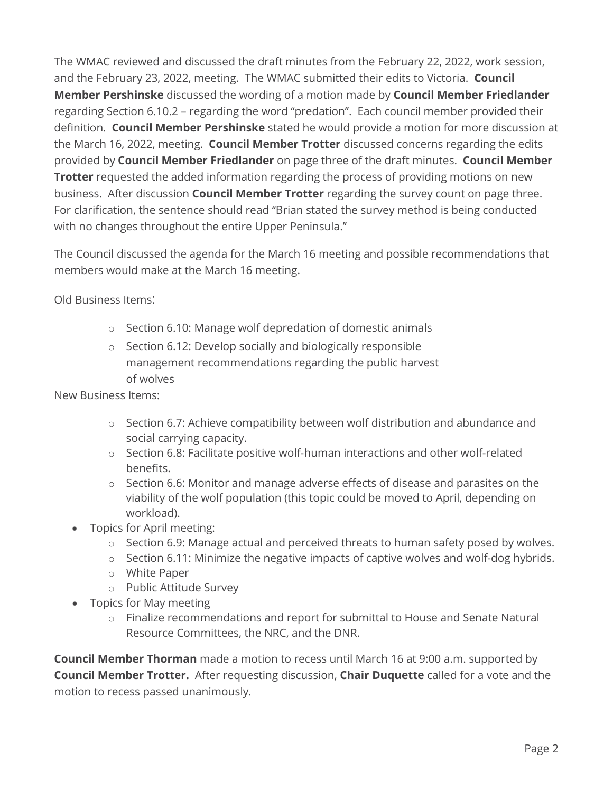The WMAC reviewed and discussed the draft minutes from the February 22, 2022, work session, and the February 23, 2022, meeting. The WMAC submitted their edits to Victoria. **Council Member Pershinske** discussed the wording of a motion made by **Council Member Friedlander** regarding Section 6.10.2 – regarding the word "predation". Each council member provided their definition. **Council Member Pershinske** stated he would provide a motion for more discussion at the March 16, 2022, meeting. **Council Member Trotter** discussed concerns regarding the edits provided by **Council Member Friedlander** on page three of the draft minutes. **Council Member Trotter** requested the added information regarding the process of providing motions on new business. After discussion **Council Member Trotter** regarding the survey count on page three. For clarification, the sentence should read "Brian stated the survey method is being conducted with no changes throughout the entire Upper Peninsula."

The Council discussed the agenda for the March 16 meeting and possible recommendations that members would make at the March 16 meeting.

Old Business Items:

- o Section 6.10: Manage wolf depredation of domestic animals
- o Section 6.12: Develop socially and biologically responsible management recommendations regarding the public harvest of wolves

New Business Items:

- o Section 6.7: Achieve compatibility between wolf distribution and abundance and social carrying capacity.
- o Section 6.8: Facilitate positive wolf-human interactions and other wolf-related benefits.
- o Section 6.6: Monitor and manage adverse effects of disease and parasites on the viability of the wolf population (this topic could be moved to April, depending on workload).
- Topics for April meeting:
	- o Section 6.9: Manage actual and perceived threats to human safety posed by wolves.
	- o Section 6.11: Minimize the negative impacts of captive wolves and wolf-dog hybrids.
	- o White Paper
	- o Public Attitude Survey
- Topics for May meeting
	- o Finalize recommendations and report for submittal to House and Senate Natural Resource Committees, the NRC, and the DNR.

**Council Member Thorman** made a motion to recess until March 16 at 9:00 a.m. supported by **Council Member Trotter.** After requesting discussion, **Chair Duquette** called for a vote and the motion to recess passed unanimously.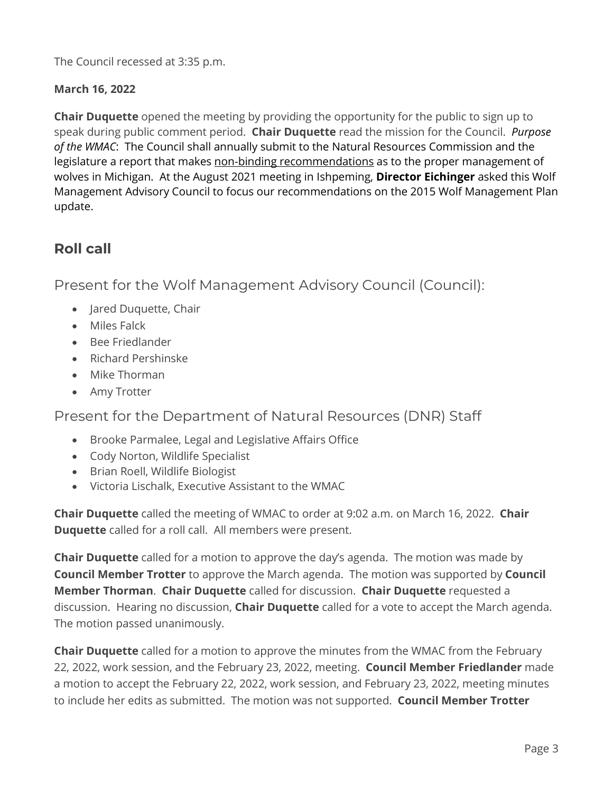The Council recessed at 3:35 p.m.

#### **March 16, 2022**

**Chair Duquette** opened the meeting by providing the opportunity for the public to sign up to speak during public comment period. **Chair Duquette** read the mission for the Council. *Purpose of the WMAC*: The Council shall annually submit to the Natural Resources Commission and the legislature a report that makes non-binding recommendations as to the proper management of wolves in Michigan. At the August 2021 meeting in Ishpeming, **Director Eichinger** asked this Wolf Management Advisory Council to focus our recommendations on the 2015 Wolf Management Plan update.

# **Roll call**

Present for the Wolf Management Advisory Council (Council):

- Jared Duquette, Chair
- Miles Falck
- Bee Friedlander
- Richard Pershinske
- Mike Thorman
- Amy Trotter

Present for the Department of Natural Resources (DNR) Staff

- Brooke Parmalee, Legal and Legislative Affairs Office
- Cody Norton, Wildlife Specialist
- Brian Roell, Wildlife Biologist
- Victoria Lischalk, Executive Assistant to the WMAC

**Chair Duquette** called the meeting of WMAC to order at 9:02 a.m. on March 16, 2022. **Chair Duquette** called for a roll call. All members were present.

**Chair Duquette** called for a motion to approve the day's agenda. The motion was made by **Council Member Trotter** to approve the March agenda. The motion was supported by **Council Member Thorman**. **Chair Duquette** called for discussion. **Chair Duquette** requested a discussion. Hearing no discussion, **Chair Duquette** called for a vote to accept the March agenda. The motion passed unanimously.

**Chair Duquette** called for a motion to approve the minutes from the WMAC from the February 22, 2022, work session, and the February 23, 2022, meeting. **Council Member Friedlander** made a motion to accept the February 22, 2022, work session, and February 23, 2022, meeting minutes to include her edits as submitted. The motion was not supported. **Council Member Trotter**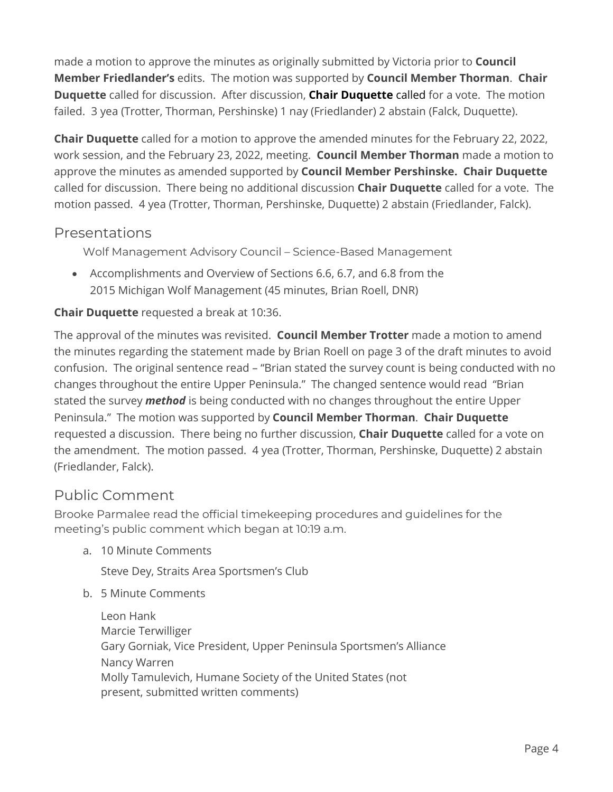made a motion to approve the minutes as originally submitted by Victoria prior to **Council Member Friedlander's** edits. The motion was supported by **Council Member Thorman**. **Chair Duquette** called for discussion. After discussion, **Chair Duquette** called for a vote. The motion failed. 3 yea (Trotter, Thorman, Pershinske) 1 nay (Friedlander) 2 abstain (Falck, Duquette).

**Chair Duquette** called for a motion to approve the amended minutes for the February 22, 2022, work session, and the February 23, 2022, meeting. **Council Member Thorman** made a motion to approve the minutes as amended supported by **Council Member Pershinske. Chair Duquette**  called for discussion. There being no additional discussion **Chair Duquette** called for a vote. The motion passed. 4 yea (Trotter, Thorman, Pershinske, Duquette) 2 abstain (Friedlander, Falck).

## Presentations

Wolf Management Advisory Council – Science-Based Management

• Accomplishments and Overview of Sections 6.6, 6.7, and 6.8 from the 2015 Michigan Wolf Management (45 minutes, Brian Roell, DNR)

#### **Chair Duquette** requested a break at 10:36.

The approval of the minutes was revisited. **Council Member Trotter** made a motion to amend the minutes regarding the statement made by Brian Roell on page 3 of the draft minutes to avoid confusion. The original sentence read – "Brian stated the survey count is being conducted with no changes throughout the entire Upper Peninsula." The changed sentence would read "Brian stated the survey *method* is being conducted with no changes throughout the entire Upper Peninsula." The motion was supported by **Council Member Thorman**. **Chair Duquette** requested a discussion. There being no further discussion, **Chair Duquette** called for a vote on the amendment. The motion passed. 4 yea (Trotter, Thorman, Pershinske, Duquette) 2 abstain (Friedlander, Falck).

## Public Comment

Brooke Parmalee read the official timekeeping procedures and guidelines for the meeting's public comment which began at 10:19 a.m.

a. 10 Minute Comments

Steve Dey, Straits Area Sportsmen's Club

b. 5 Minute Comments

Leon Hank Marcie Terwilliger Gary Gorniak, Vice President, Upper Peninsula Sportsmen's Alliance Nancy Warren Molly Tamulevich, Humane Society of the United States (not present, submitted written comments)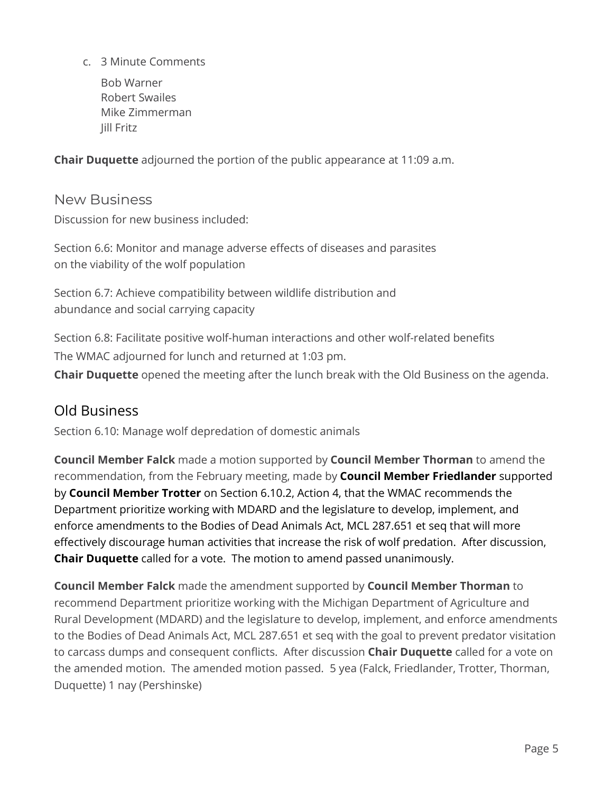c. 3 Minute Comments

Bob Warner Robert Swailes Mike Zimmerman Jill Fritz

**Chair Duquette** adjourned the portion of the public appearance at 11:09 a.m.

New Business Discussion for new business included:

Section 6.6: Monitor and manage adverse effects of diseases and parasites on the viability of the wolf population

Section 6.7: Achieve compatibility between wildlife distribution and abundance and social carrying capacity

Section 6.8: Facilitate positive wolf-human interactions and other wolf-related benefits The WMAC adjourned for lunch and returned at 1:03 pm. **Chair Duquette** opened the meeting after the lunch break with the Old Business on the agenda.

# Old Business

Section 6.10: Manage wolf depredation of domestic animals

**Council Member Falck** made a motion supported by **Council Member Thorman** to amend the recommendation, from the February meeting, made by **Council Member Friedlander** supported by **Council Member Trotter** on Section 6.10.2, Action 4, that the WMAC recommends the Department prioritize working with MDARD and the legislature to develop, implement, and enforce amendments to the Bodies of Dead Animals Act, MCL 287.651 et seq that will more effectively discourage human activities that increase the risk of wolf predation. After discussion, **Chair Duquette** called for a vote. The motion to amend passed unanimously.

**Council Member Falck** made the amendment supported by **Council Member Thorman** to recommend Department prioritize working with the Michigan Department of Agriculture and Rural Development (MDARD) and the legislature to develop, implement, and enforce amendments to the Bodies of Dead Animals Act, MCL 287.651 et seq with the goal to prevent predator visitation to carcass dumps and consequent conflicts. After discussion **Chair Duquette** called for a vote on the amended motion. The amended motion passed. 5 yea (Falck, Friedlander, Trotter, Thorman, Duquette) 1 nay (Pershinske)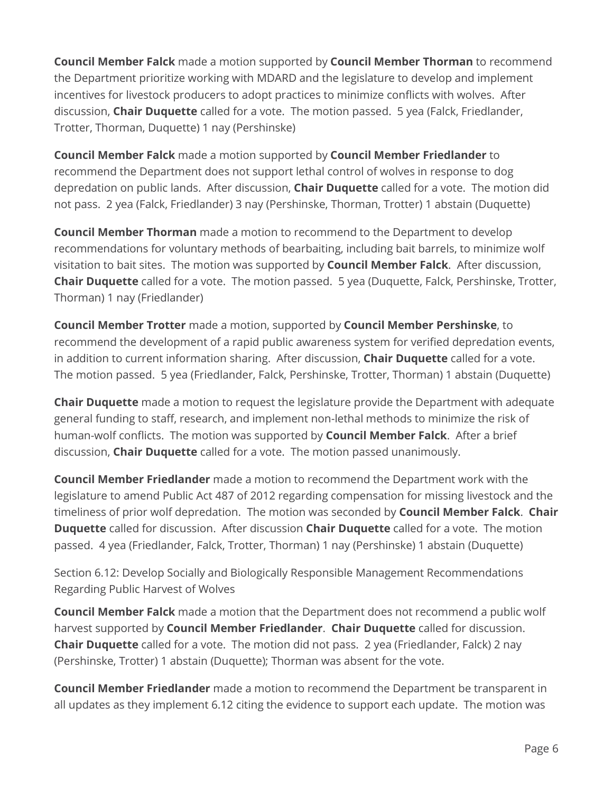**Council Member Falck** made a motion supported by **Council Member Thorman** to recommend the Department prioritize working with MDARD and the legislature to develop and implement incentives for livestock producers to adopt practices to minimize conflicts with wolves. After discussion, **Chair Duquette** called for a vote. The motion passed. 5 yea (Falck, Friedlander, Trotter, Thorman, Duquette) 1 nay (Pershinske)

**Council Member Falck** made a motion supported by **Council Member Friedlander** to recommend the Department does not support lethal control of wolves in response to dog depredation on public lands. After discussion, **Chair Duquette** called for a vote. The motion did not pass. 2 yea (Falck, Friedlander) 3 nay (Pershinske, Thorman, Trotter) 1 abstain (Duquette)

**Council Member Thorman** made a motion to recommend to the Department to develop recommendations for voluntary methods of bearbaiting, including bait barrels, to minimize wolf visitation to bait sites. The motion was supported by **Council Member Falck**. After discussion, **Chair Duquette** called for a vote. The motion passed. 5 yea (Duquette, Falck, Pershinske, Trotter, Thorman) 1 nay (Friedlander)

**Council Member Trotter** made a motion, supported by **Council Member Pershinske**, to recommend the development of a rapid public awareness system for verified depredation events, in addition to current information sharing. After discussion, **Chair Duquette** called for a vote. The motion passed. 5 yea (Friedlander, Falck, Pershinske, Trotter, Thorman) 1 abstain (Duquette)

**Chair Duquette** made a motion to request the legislature provide the Department with adequate general funding to staff, research, and implement non-lethal methods to minimize the risk of human-wolf conflicts. The motion was supported by **Council Member Falck**. After a brief discussion, **Chair Duquette** called for a vote. The motion passed unanimously.

**Council Member Friedlander** made a motion to recommend the Department work with the legislature to amend Public Act 487 of 2012 regarding compensation for missing livestock and the timeliness of prior wolf depredation. The motion was seconded by **Council Member Falck**. **Chair Duquette** called for discussion. After discussion **Chair Duquette** called for a vote. The motion passed. 4 yea (Friedlander, Falck, Trotter, Thorman) 1 nay (Pershinske) 1 abstain (Duquette)

Section 6.12: Develop Socially and Biologically Responsible Management Recommendations Regarding Public Harvest of Wolves

**Council Member Falck** made a motion that the Department does not recommend a public wolf harvest supported by **Council Member Friedlander**. **Chair Duquette** called for discussion. **Chair Duquette** called for a vote. The motion did not pass. 2 yea (Friedlander, Falck) 2 nay (Pershinske, Trotter) 1 abstain (Duquette); Thorman was absent for the vote.

**Council Member Friedlander** made a motion to recommend the Department be transparent in all updates as they implement 6.12 citing the evidence to support each update. The motion was